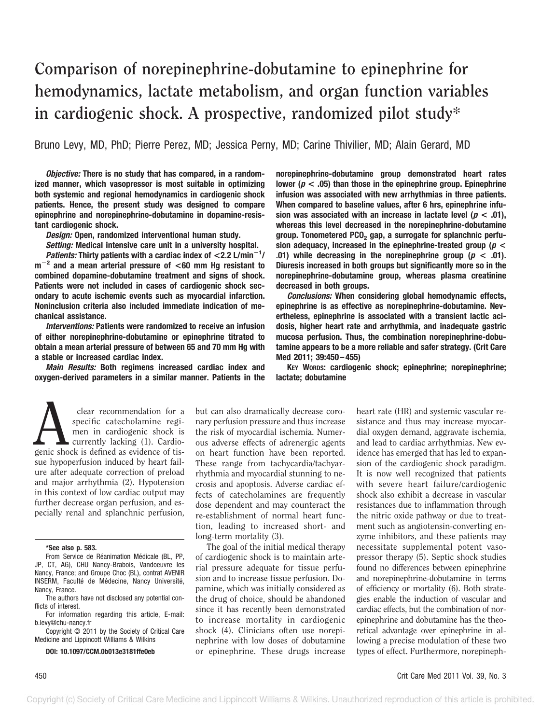# **Comparison of norepinephrine-dobutamine to epinephrine for hemodynamics, lactate metabolism, and organ function variables in cardiogenic shock. A prospective, randomized pilot study\***

Bruno Levy, MD, PhD; Pierre Perez, MD; Jessica Perny, MD; Carine Thivilier, MD; Alain Gerard, MD

*Objective:* **There is no study that has compared, in a randomized manner, which vasopressor is most suitable in optimizing both systemic and regional hemodynamics in cardiogenic shock patients. Hence, the present study was designed to compare epinephrine and norepinephrine-dobutamine in dopamine-resistant cardiogenic shock.**

*Design:* **Open, randomized interventional human study.**

*Setting:* **Medical intensive care unit in a university hospital.**

Patients: Thirty patients with a cardiac index of  $\lt$  2.2 L/min<sup>-1</sup>/ **m<sup>2</sup> and a mean arterial pressure of <60 mm Hg resistant to combined dopamine-dobutamine treatment and signs of shock. Patients were not included in cases of cardiogenic shock secondary to acute ischemic events such as myocardial infarction. Noninclusion criteria also included immediate indication of mechanical assistance.**

*Interventions:* **Patients were randomized to receive an infusion of either norepinephrine-dobutamine or epinephrine titrated to obtain a mean arterial pressure of between 65 and 70 mm Hg with a stable or increased cardiac index.**

*Main Results:* **Both regimens increased cardiac index and oxygen-derived parameters in a similar manner. Patients in the**

**norepinephrine-dobutamine group demonstrated heart rates** lower ( $p < .05$ ) than those in the epinephrine group. Epinephrine **infusion was associated with new arrhythmias in three patients. When compared to baseline values, after 6 hrs, epinephrine infusion was associated with an increase in lactate level (***p* **< .01), whereas this level decreased in the norepinephrine-dobutamine** group. Tonometered PCO<sub>2</sub> gap, a surrogate for splanchnic perfu**sion adequacy, increased in the epinephrine-treated group (***p* **< .01) while decreasing in the norepinephrine group (***p* **< .01). Diuresis increased in both groups but significantly more so in the norepinephrine-dobutamine group, whereas plasma creatinine decreased in both groups.**

*Conclusions:* **When considering global hemodynamic effects, epinephrine is as effective as norepinephrine-dobutamine. Nevertheless, epinephrine is associated with a transient lactic acidosis, higher heart rate and arrhythmia, and inadequate gastric mucosa perfusion. Thus, the combination norepinephrine-dobutamine appears to be a more reliable and safer strategy. (Crit Care Med 2011; 39:450 –455)**

**KEY WORDS: cardiogenic shock; epinephrine; norepinephrine; lactate; dobutamine**

clear recommendation for a<br>specific catecholamine regi-<br>men in cardiogenic shock is<br>currently lacking (1). Cardio-<br>genic shock is defined as evidence of tisspecific catecholamine regimen in cardiogenic shock is currently lacking (1). Cardiosue hypoperfusion induced by heart failure after adequate correction of preload and major arrhythmia (2). Hypotension in this context of low cardiac output may further decrease organ perfusion, and especially renal and splanchnic perfusion,

#### **\*See also p. 583.**

From Service de Réanimation Médicale (BL, PP, JP, CT, AG), CHU Nancy-Brabois, Vandoeuvre les Nancy, France; and Groupe Choc (BL), contrat AVENIR INSERM, Faculté de Médecine, Nancy Université, Nancy, France.

The authors have not disclosed any potential conflicts of interest.

For information regarding this article, E-mail: b.levy@chu-nancy.fr

Copyright © 2011 by the Society of Critical Care Medicine and Lippincott Williams & Wilkins

**DOI: 10.1097/CCM.0b013e3181ffe0eb**

but can also dramatically decrease coronary perfusion pressure and thus increase the risk of myocardial ischemia. Numerous adverse effects of adrenergic agents on heart function have been reported. These range from tachycardia/tachyarrhythmia and myocardial stunning to necrosis and apoptosis. Adverse cardiac effects of catecholamines are frequently dose dependent and may counteract the re-establishment of normal heart function, leading to increased short- and long-term mortality (3).

The goal of the initial medical therapy of cardiogenic shock is to maintain arterial pressure adequate for tissue perfusion and to increase tissue perfusion. Dopamine, which was initially considered as the drug of choice, should be abandoned since it has recently been demonstrated to increase mortality in cardiogenic shock (4). Clinicians often use norepinephrine with low doses of dobutamine or epinephrine. These drugs increase

heart rate (HR) and systemic vascular resistance and thus may increase myocardial oxygen demand, aggravate ischemia, and lead to cardiac arrhythmias. New evidence has emerged that has led to expansion of the cardiogenic shock paradigm. It is now well recognized that patients with severe heart failure/cardiogenic shock also exhibit a decrease in vascular resistances due to inflammation through the nitric oxide pathway or due to treatment such as angiotensin-converting enzyme inhibitors, and these patients may necessitate supplemental potent vasopressor therapy (5). Septic shock studies found no differences between epinephrine and norepinephrine-dobutamine in terms of efficiency or mortality (6). Both strategies enable the induction of vascular and cardiac effects, but the combination of norepinephrine and dobutamine has the theoretical advantage over epinephrine in allowing a precise modulation of these two types of effect. Furthermore, norepineph-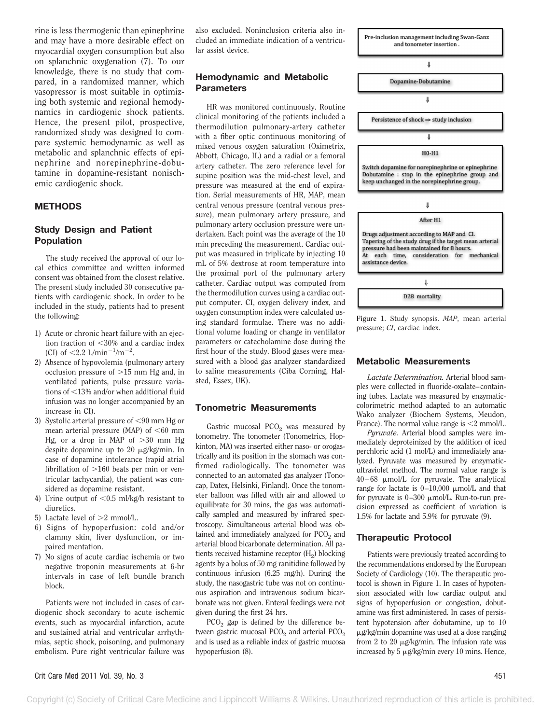rine is less thermogenic than epinephrine and may have a more desirable effect on myocardial oxygen consumption but also on splanchnic oxygenation (7). To our knowledge, there is no study that compared, in a randomized manner, which vasopressor is most suitable in optimizing both systemic and regional hemodynamics in cardiogenic shock patients. Hence, the present pilot, prospective, randomized study was designed to compare systemic hemodynamic as well as metabolic and splanchnic effects of epinephrine and norepinephrine-dobutamine in dopamine-resistant nonischemic cardiogenic shock.

## **METHODS**

# **Study Design and Patient Population**

The study received the approval of our local ethics committee and written informed consent was obtained from the closest relative. The present study included 30 consecutive patients with cardiogenic shock. In order to be included in the study, patients had to present the following:

- 1) Acute or chronic heart failure with an ejection fraction of <30% and a cardiac index (CI) of  $\leq$  2.2 L/min<sup>-1</sup>/m<sup>-2</sup>.
- 2) Absence of hypovolemia (pulmonary artery occlusion pressure of  $>15$  mm Hg and, in ventilated patients, pulse pressure variations of  $<$ 13% and/or when additional fluid infusion was no longer accompanied by an increase in CI).
- 3) Systolic arterial pressure of  $<$  90 mm Hg or mean arterial pressure (MAP) of  $<$  60 mm Hg, or a drop in MAP of  $>30$  mm Hg despite dopamine up to 20  $\mu$ g/kg/min. In case of dopamine intolerance (rapid atrial fibrillation of  $>160$  beats per min or ventricular tachycardia), the patient was considered as dopamine resistant.
- 4) Urine output of  $\langle 0.5 \text{ m} \rangle$  kg/h resistant to diuretics.
- 5) Lactate level of  $>2$  mmol/L.
- 6) Signs of hypoperfusion: cold and/or clammy skin, liver dysfunction, or impaired mentation.
- 7) No signs of acute cardiac ischemia or two negative troponin measurements at 6-hr intervals in case of left bundle branch block.

Patients were not included in cases of cardiogenic shock secondary to acute ischemic events, such as myocardial infarction, acute and sustained atrial and ventricular arrhythmias, septic shock, poisoning, and pulmonary embolism. Pure right ventricular failure was

also excluded. Noninclusion criteria also included an immediate indication of a ventricular assist device.

## **Hemodynamic and Metabolic Parameters**

HR was monitored continuously. Routine clinical monitoring of the patients included a thermodilution pulmonary-artery catheter with a fiber optic continuous monitoring of mixed venous oxygen saturation (Oximetrix, Abbott, Chicago, IL) and a radial or a femoral artery catheter. The zero reference level for supine position was the mid-chest level, and pressure was measured at the end of expiration. Serial measurements of HR, MAP, mean central venous pressure (central venous pressure), mean pulmonary artery pressure, and pulmonary artery occlusion pressure were undertaken. Each point was the average of the 10 min preceding the measurement. Cardiac output was measured in triplicate by injecting 10 mL of 5% dextrose at room temperature into the proximal port of the pulmonary artery catheter. Cardiac output was computed from the thermodilution curves using a cardiac output computer. CI, oxygen delivery index, and oxygen consumption index were calculated using standard formulae. There was no additional volume loading or change in ventilator parameters or catecholamine dose during the first hour of the study. Blood gases were measured with a blood gas analyzer standardized to saline measurements (Ciba Corning, Halsted, Essex, UK).

## **Tonometric Measurements**

Gastric mucosal  $PCO<sub>2</sub>$  was measured by tonometry. The tonometer (Tonometrics, Hopkinton, MA) was inserted either naso- or orogastrically and its position in the stomach was confirmed radiologically. The tonometer was connected to an automated gas analyzer (Tonocap, Datex, Helsinki, Finland). Once the tonometer balloon was filled with air and allowed to equilibrate for 30 mins, the gas was automatically sampled and measured by infrared spectroscopy. Simultaneous arterial blood was obtained and immediately analyzed for  $PCO<sub>2</sub>$  and arterial blood bicarbonate determination. All patients received histamine receptor  $(H_2)$  blocking agents by a bolus of 50 mg ranitidine followed by continuous infusion (6.25 mg/h). During the study, the nasogastric tube was not on continuous aspiration and intravenous sodium bicarbonate was not given. Enteral feedings were not given during the first 24 hrs.

 $PCO<sub>2</sub>$  gap is defined by the difference between gastric mucosal PCO<sub>2</sub> and arterial PCO<sub>2</sub> and is used as a reliable index of gastric mucosa hypoperfusion (8).



**Figure** 1. Study synopsis. *MAP*, mean arterial pressure; *CI*, cardiac index.

### **Metabolic Measurements**

*Lactate Determination.* Arterial blood samples were collected in fluoride-oxalate–containing tubes. Lactate was measured by enzymaticcolorimetric method adapted to an automatic Wako analyzer (Biochem Systems, Meudon, France). The normal value range is  $\leq$ 2 mmol/L.

*Pyruvate.* Arterial blood samples were immediately deproteinized by the addition of iced perchloric acid (1 mol/L) and immediately analyzed. Pyruvate was measured by enzymaticultraviolet method. The normal value range is  $40 - 68$  µmol/L for pyruvate. The analytical range for lactate is  $0-10,000$   $\mu$ mol/L and that for pyruvate is  $0-300 \mu \text{mol/L}$ . Run-to-run precision expressed as coefficient of variation is 1.5% for lactate and 5.9% for pyruvate (9).

## **Therapeutic Protocol**

Patients were previously treated according to the recommendations endorsed by the European Society of Cardiology (10). The therapeutic protocol is shown in Figure 1. In cases of hypotension associated with low cardiac output and signs of hypoperfusion or congestion, dobutamine was first administered. In cases of persistent hypotension after dobutamine, up to 10 g/kg/min dopamine was used at a dose ranging from 2 to 20  $\mu$ g/kg/min. The infusion rate was increased by  $5 \mu$ g/kg/min every 10 mins. Hence,

#### Crit Care Med 2011 Vol. 39, No. 3 451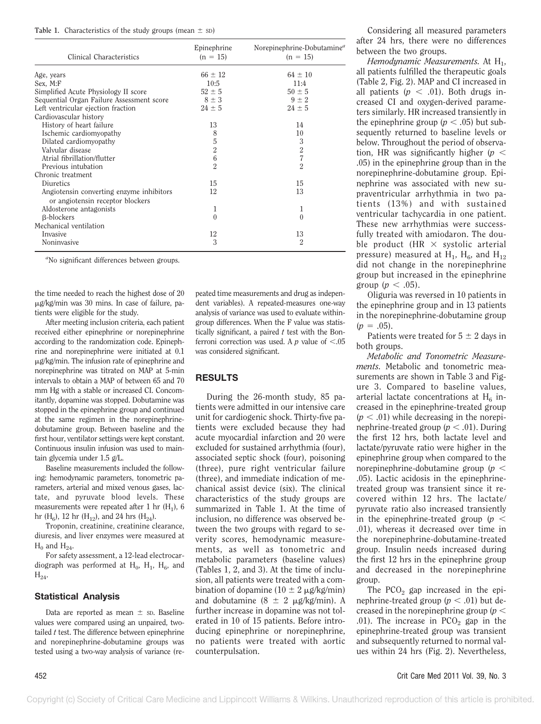|  | Table 1. Characteristics of the study groups (mean $\pm$ sD) |  |  |  |  |  |  |  |
|--|--------------------------------------------------------------|--|--|--|--|--|--|--|
|--|--------------------------------------------------------------|--|--|--|--|--|--|--|

| Clinical Characteristics                                                     | Epinephrine<br>$(n = 15)$ | Norepinephrine-Dobutamine <sup>a</sup><br>$(n = 15)$ |
|------------------------------------------------------------------------------|---------------------------|------------------------------------------------------|
| Age, years                                                                   | $66 \pm 12$               | $64 \pm 10$                                          |
| Sex, M:F                                                                     | 10:5                      | 11:4                                                 |
| Simplified Acute Physiology II score                                         | $52 \pm 5$                | $50 \pm 5$                                           |
| Sequential Organ Failure Assessment score                                    | $8 \pm 3$                 | $9 \pm 2$                                            |
| Left ventricular ejection fraction                                           | $24 \pm 5$                | $24 \pm 5$                                           |
| Cardiovascular history                                                       |                           |                                                      |
| History of heart failure                                                     | 13                        | 14                                                   |
| Ischemic cardiomyopathy                                                      | 8                         | 10                                                   |
| Dilated cardiomyopathy                                                       | 5                         | 3                                                    |
| Valvular disease                                                             | $\overline{2}$            | $\frac{2}{7}$                                        |
| Atrial fibrillation/flutter                                                  | 6                         |                                                      |
| Previous intubation                                                          | $\mathfrak{D}$            | $\overline{2}$                                       |
| Chronic treatment                                                            |                           |                                                      |
| Diuretics                                                                    | 15                        | 15                                                   |
| Angiotensin converting enzyme inhibitors<br>or angiotensin receptor blockers | 12                        | 13                                                   |
| Aldosterone antagonists                                                      | 1                         | 1                                                    |
| <b>B-blockers</b>                                                            | $\theta$                  | $\theta$                                             |
| Mechanical ventilation                                                       |                           |                                                      |
| Invasive                                                                     | 12                        | 13                                                   |
| Noninvasive                                                                  | 3                         | $\overline{2}$                                       |

*a* No significant differences between groups.

the time needed to reach the highest dose of 20 g/kg/min was 30 mins. In case of failure, patients were eligible for the study.

After meeting inclusion criteria, each patient received either epinephrine or norepinephrine according to the randomization code. Epinephrine and norepinephrine were initiated at 0.1 g/kg/min. The infusion rate of epinephrine and norepinephrine was titrated on MAP at 5-min intervals to obtain a MAP of between 65 and 70 mm Hg with a stable or increased CI. Concomitantly, dopamine was stopped. Dobutamine was stopped in the epinephrine group and continued at the same regimen in the norepinephrinedobutamine group. Between baseline and the first hour, ventilator settings were kept constant. Continuous insulin infusion was used to maintain glycemia under 1.5 g/L.

Baseline measurements included the following: hemodynamic parameters, tonometric parameters, arterial and mixed venous gases, lactate, and pyruvate blood levels. These measurements were repeated after 1 hr  $(H_1)$ , 6 hr (H<sub>6</sub>), 12 hr (H<sub>12</sub>), and 24 hrs (H<sub>24</sub>).

Troponin, creatinine, creatinine clearance, diuresis, and liver enzymes were measured at  $H_0$  and  $H_{24}$ .

For safety assessment, a 12-lead electrocardiograph was performed at  $H_0$ ,  $H_1$ ,  $H_6$ , and  $H_{24}$ .

## **Statistical Analysis**

Data are reported as mean  $\pm$  sp. Baseline values were compared using an unpaired, twotailed *t* test. The difference between epinephrine and norepinephrine-dobutamine groups was tested using a two-way analysis of variance (repeated time measurements and drug as independent variables). A repeated-measures one-way analysis of variance was used to evaluate withingroup differences. When the F value was statistically significant, a paired *t* test with the Bonferroni correction was used. A  $p$  value of  $\leq$ .05 was considered significant.

# **RESULTS**

During the 26-month study, 85 patients were admitted in our intensive care unit for cardiogenic shock. Thirty-five patients were excluded because they had acute myocardial infarction and 20 were excluded for sustained arrhythmia (four), associated septic shock (four), poisoning (three), pure right ventricular failure (three), and immediate indication of mechanical assist device (six). The clinical characteristics of the study groups are summarized in Table 1. At the time of inclusion, no difference was observed between the two groups with regard to severity scores, hemodynamic measurements, as well as tonometric and metabolic parameters (baseline values) (Tables 1, 2, and 3). At the time of inclusion, all patients were treated with a combination of dopamine (10  $\pm$  2  $\mu$ g/kg/min) and dobutamine  $(8 \pm 2 \mu g/kg/min)$ . A further increase in dopamine was not tolerated in 10 of 15 patients. Before introducing epinephrine or norepinephrine, no patients were treated with aortic counterpulsation.

Considering all measured parameters after 24 hrs, there were no differences between the two groups.

*Hemodynamic Measurements.* At H<sub>1</sub>, all patients fulfilled the therapeutic goals (Table 2, Fig. 2). MAP and CI increased in all patients  $(p < .01)$ . Both drugs increased CI and oxygen-derived parameters similarly. HR increased transiently in the epinephrine group ( $p < .05$ ) but subsequently returned to baseline levels or below. Throughout the period of observation, HR was significantly higher  $(p <$ .05) in the epinephrine group than in the norepinephrine-dobutamine group. Epinephrine was associated with new supraventricular arrhythmia in two patients (13%) and with sustained ventricular tachycardia in one patient. These new arrhythmias were successfully treated with amiodaron. The double product (HR  $\times$  systolic arterial pressure) measured at  $H_1$ ,  $H_6$ , and  $H_{12}$ did not change in the norepinephrine group but increased in the epinephrine group  $(p < .05)$ .

Oliguria was reversed in 10 patients in the epinephrine group and in 13 patients in the norepinephrine-dobutamine group  $(p = .05)$ .

Patients were treated for  $5 \pm 2$  days in both groups.

*Metabolic and Tonometric Measurements.* Metabolic and tonometric measurements are shown in Table 3 and Figure 3. Compared to baseline values, arterial lactate concentrations at  $H_6$  increased in the epinephrine-treated group  $(p < .01)$  while decreasing in the norepinephrine-treated group  $(p < .01)$ . During the first 12 hrs, both lactate level and lactate/pyruvate ratio were higher in the epinephrine group when compared to the norepinephrine-dobutamine group (*p* .05). Lactic acidosis in the epinephrinetreated group was transient since it recovered within 12 hrs. The lactate/ pyruvate ratio also increased transiently in the epinephrine-treated group  $(p \leq$ .01), whereas it decreased over time in the norepinephrine-dobutamine-treated group. Insulin needs increased during the first 12 hrs in the epinephrine group and decreased in the norepinephrine group.

The  $PCO<sub>2</sub>$  gap increased in the epinephrine-treated group ( $p < .01$ ) but decreased in the norepinephrine group (*p* .01). The increase in  $PCO<sub>2</sub>$  gap in the epinephrine-treated group was transient and subsequently returned to normal values within 24 hrs (Fig. 2). Nevertheless,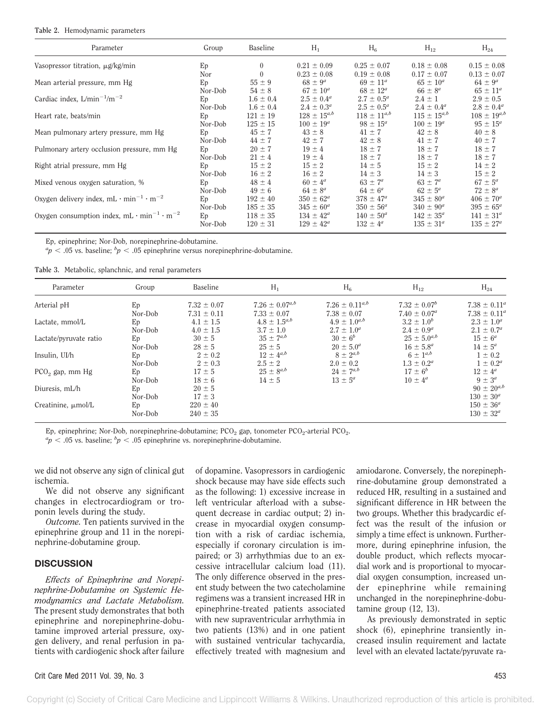#### **Table 2.** Hemodynamic parameters

| Parameter                                                  | Group   | <b>Baseline</b> | $H_1$                 | H <sub>6</sub>       | $H_{12}$             | $H_{24}$             |
|------------------------------------------------------------|---------|-----------------|-----------------------|----------------------|----------------------|----------------------|
| Vasopressor titration, $\mu$ g/kg/min                      | Ep      | $\theta$        | $0.21 \pm 0.09$       | $0.25 \pm 0.07$      | $0.18 \pm 0.08$      | $0.15 \pm 0.08$      |
|                                                            | Nor     | $\theta$        | $0.23 \pm 0.08$       | $0.19 \pm 0.08$      | $0.17 \pm 0.07$      | $0.13 \pm 0.07$      |
| Mean arterial pressure, mm Hg                              | Ep      | $55 \pm 9$      | $68 \pm 9^a$          | $69 \pm 11^a$        | $65 \pm 10^a$        | $64 \pm 9^a$         |
|                                                            | Nor-Dob | $54 \pm 8$      | $67 \pm 10^a$         | $68 \pm 12^{\circ}$  | $66 \pm 8^{\circ}$   | $65 \pm 11^a$        |
| Cardiac index, $L/min^{-1}/m^{-2}$                         | Ep      | $1.6 \pm 0.4$   | $2.5 \pm 0.4^a$       | $2.7 \pm 0.5^a$      | $2.4 \pm 1$          | $2.9 \pm 0.5$        |
|                                                            | Nor-Dob | $1.6 \pm 0.4$   | $2.4 \pm 0.3^{\circ}$ | $2.5 \pm 0.5^a$      | $2.4 \pm 0.4^a$      | $2.8 \pm 0.4^a$      |
| Heart rate, beats/min                                      | Ep      | $121 \pm 19$    | $128 \pm 15^{a,b}$    | $118 \pm 11^{a,b}$   | $115 \pm 15^{a,b}$   | $108 \pm 19^{a,b}$   |
|                                                            | Nor-Dob | $125 \pm 15$    | $100 \pm 19^a$        | $98 \pm 15^{\circ}$  | $100 \pm 19^a$       | $95 \pm 15^{\circ}$  |
| Mean pulmonary artery pressure, mm Hg                      | Ep      | $45 \pm 7$      | $43 \pm 8$            | $41 \pm 7$           | $42 \pm 8$           | $40 \pm 8$           |
|                                                            | Nor-Dob | $44 \pm 7$      | $42 \pm 7$            | $42 \pm 8$           | $41 \pm 7$           | $40 \pm 7$           |
| Pulmonary artery occlusion pressure, mm Hg                 | Ep      | $20 \pm 7$      | $19 \pm 4$            | $18 \pm 7$           | $18 \pm 7$           | $18 \pm 7$           |
|                                                            | Nor-Dob | $21 \pm 4$      | $19 \pm 4$            | $18 \pm 7$           | $18 \pm 7$           | $18 \pm 7$           |
| Right atrial pressure, mm Hg                               | Ep      | $15 \pm 2$      | $15 \pm 2$            | $14 \pm 5$           | $15 \pm 2$           | $14 \pm 2$           |
|                                                            | Nor-Dob | $16 \pm 2$      | $16 \pm 2$            | $14 \pm 3$           | $14 \pm 3$           | $15 \pm 2$           |
| Mixed venous oxygen saturation, %                          | Ep      | $48 \pm 4$      | $60 \pm 4^a$          | $63 \pm 7^a$         | $63 \pm 7^a$         | $67 \pm 5^{\circ}$   |
|                                                            | Nor-Dob | $49 \pm 6$      | $64 \pm 8^a$          | $64 \pm 6^{\circ}$   | $62 \pm 5^{\circ}$   | $72 \pm 8^a$         |
| Oxygen delivery index, $mL \cdot min^{-1} \cdot m^{-2}$    | Ep      | $192 \pm 40$    | $350 \pm 62^{\circ}$  | $378 \pm 47^a$       | $345 \pm 80^a$       | $406 \pm 70^a$       |
|                                                            | Nor-Dob | $185 \pm 35$    | $345 \pm 60^{\circ}$  | $350 \pm 56^{\circ}$ | $340 \pm 90^a$       | $395 \pm 65^{\circ}$ |
| Oxygen consumption index, $mL \cdot min^{-1} \cdot m^{-2}$ | Ep      | $118 \pm 35$    | $134 \pm 42^{\circ}$  | $140 \pm 50^a$       | $142 \pm 35^{\circ}$ | $141 \pm 31^a$       |
|                                                            | Nor-Dob | $120 \pm 31$    | $129 \pm 42^{\circ}$  | $132 \pm 4^a$        | $135 \pm 31^{\circ}$ | $135 \pm 27^a$       |

Ep, epinephrine; Nor-Dob, norepinephrine-dobutamine.

 $a_p$  < .05 vs. baseline;  $b_p$  < .05 epinephrine versus norepinephrine-dobutamine.

|  |  |  |  | Table 3. Metabolic, splanchnic, and renal parameters |
|--|--|--|--|------------------------------------------------------|
|--|--|--|--|------------------------------------------------------|

| Parameter              | Group         | <b>Baseline</b>              | $H_1$                 | $H_6$                 | $H_{12}$             | $H_{24}$                                     |
|------------------------|---------------|------------------------------|-----------------------|-----------------------|----------------------|----------------------------------------------|
| Arterial pH            | Ep            | $7.32 \pm 0.07$              | $7.26 \pm 0.07^{a,b}$ | $7.26 \pm 0.11^{a,b}$ | $7.32 \pm 0.07^b$    | $7.38 \pm 0.11^a$                            |
|                        | Nor-Dob       | $7.31 \pm 0.11$              | $7.33 \pm 0.07$       | $7.38 \pm 0.07$       | $7.40 \pm 0.07^a$    | $7.38 \pm 0.11^a$                            |
| Lactate, mmol/L        | Ep            | $4.1 \pm 1.5$                | $4.8 \pm 1.5^{a,b}$   | $4.9 \pm 1.0^{a,b}$   | $3.2 \pm 1.0^b$      | $2.3 \pm 1.0^a$                              |
|                        | Nor-Dob       | $4.0 \pm 1.5$                | $3.7 \pm 1.0$         | $2.7 \pm 1.0^a$       | $2.4 \pm 0.9^a$      | $2.1 \pm 0.7^a$                              |
| Lactate/pyruvate ratio | Ep            | $30 \pm 5$                   | $35 \pm 7^{a,b}$      | $30 \pm 6^b$          | $25 \pm 5.0^{a,b}$   | $15 \pm 6^{\circ}$                           |
|                        | Nor-Dob       | $28 \pm 5$                   | $25 \pm 5$            | $20 \pm 5.0^a$        | $16 \pm 5.8^{\circ}$ | $14 \pm 5^a$                                 |
| Insulin, UI/h          | Ep            | $2 \pm 0.2$                  | $12 \pm 4^{a,b}$      | $8 \pm 2^{a,b}$       | $6 \pm 1^{a,b}$      | $1 \pm 0.2$                                  |
|                        | Nor-Dob       | $2 \pm 0.3$                  | $2.5 \pm 2$           | $2.0 \pm 0.2$         | $1.3 \pm 0.2^a$      | $1 \pm 0.2^a$                                |
| $PCO2$ gap, mm Hg      | Ep            | $17 \pm 5$                   | $25 \pm 8^{a,b}$      | $24 \pm 7^{a,b}$      | $17 \pm 6^{b}$       | $12 \pm 4^a$                                 |
|                        | Nor-Dob       | $18 \pm 6$                   | $14 \pm 5$            | $13 \pm 5^{\circ}$    | $10 \pm 4^a$         | $9 \pm 3^a$                                  |
| Diuresis, mL/h         | Ep<br>Nor-Dob | $20 \pm 5$<br>$17 \pm 3$     |                       |                       |                      | $90 \pm 20^{a,b}$<br>$130 \pm 30^a$          |
| Creatinine, µmol/L     | Ep<br>Nor-Dob | $220 \pm 40$<br>$240 \pm 35$ |                       |                       |                      | $150 \pm 36^{\circ}$<br>$130 \pm 32^{\circ}$ |

Ep, epinephrine; Nor-Dob, norepinephrine-dobutamine; PCO<sub>2</sub> gap, tonometer PCO<sub>2</sub>-arterial PCO<sub>2</sub>.

 $p < .05$  vs. baseline;  $b_p < .05$  epinephrine vs. norepinephrine-dobutamine.

we did not observe any sign of clinical gut ischemia.

We did not observe any significant changes in electrocardiogram or troponin levels during the study.

*Outcome.* Ten patients survived in the epinephrine group and 11 in the norepinephrine-dobutamine group.

# **DISCUSSION**

*Effects of Epinephrine and Norepinephrine-Dobutamine on Systemic Hemodynamics and Lactate Metabolism.* The present study demonstrates that both epinephrine and norepinephrine-dobutamine improved arterial pressure, oxygen delivery, and renal perfusion in patients with cardiogenic shock after failure of dopamine. Vasopressors in cardiogenic shock because may have side effects such as the following: 1) excessive increase in left ventricular afterload with a subsequent decrease in cardiac output; 2) increase in myocardial oxygen consumption with a risk of cardiac ischemia, especially if coronary circulation is impaired; or 3) arrhythmias due to an excessive intracellular calcium load (11). The only difference observed in the present study between the two catecholamine regimens was a transient increased HR in epinephrine-treated patients associated with new supraventricular arrhythmia in two patients (13%) and in one patient with sustained ventricular tachycardia, effectively treated with magnesium and amiodarone. Conversely, the norepinephrine-dobutamine group demonstrated a reduced HR, resulting in a sustained and significant difference in HR between the two groups. Whether this bradycardic effect was the result of the infusion or simply a time effect is unknown. Furthermore, during epinephrine infusion, the double product, which reflects myocardial work and is proportional to myocardial oxygen consumption, increased under epinephrine while remaining unchanged in the norepinephrine-dobutamine group (12, 13).

As previously demonstrated in septic shock (6), epinephrine transiently increased insulin requirement and lactate level with an elevated lactate/pyruvate ra-

Crit Care Med 2011 Vol. 39, No. 3 453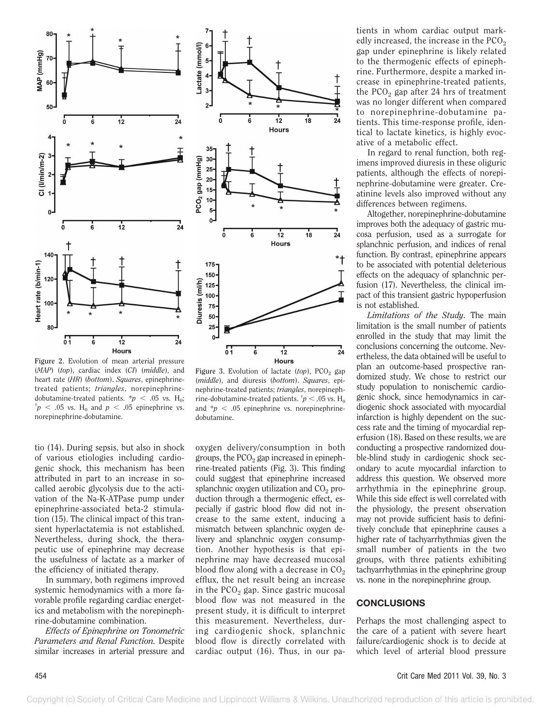

(*MAP*) (*top*), cardiac index (*CI*) (*middle*), and heart rate (*HR*) (*bottom*). *Squares*, epinephrinetreated patients; *triangles*, norepinephrinedobutamine-treated patients.  ${}^*p$  < .05 vs. H<sub>0</sub>;  $\phi^{\dagger}p$  < .05 vs. H<sub>0</sub> and  $p$  < .05 epinephrine vs. norepinephrine-dobutamine.

tio (14). During sepsis, but also in shock of various etiologies including cardiogenic shock, this mechanism has been attributed in part to an increase in socalled aerobic glycolysis due to the activation of the Na-K-ATPase pump under epinephrine-associated beta-2 stimulation (15). The clinical impact of this transient hyperlactatemia is not established. Nevertheless, during shock, the therapeutic use of epinephrine may decrease the usefulness of lactate as a marker of the efficiency of initiated therapy.

In summary, both regimens improved systemic hemodynamics with a more favorable profile regarding cardiac energetics and metabolism with the norepinephrine-dobutamine combination.

*Effects of Epinephrine on Tonometric Parameters and Renal Function.* Despite similar increases in arterial pressure and



dobutamine.

oxygen delivery/consumption in both groups, the  $PCO<sub>2</sub>$  gap increased in epinephrine-treated patients (Fig. 3). This finding could suggest that epinephrine increased splanchnic oxygen utilization and  $CO<sub>2</sub>$  production through a thermogenic effect, especially if gastric blood flow did not increase to the same extent, inducing a mismatch between splanchnic oxygen delivery and splanchnic oxygen consumption. Another hypothesis is that epinephrine may have decreased mucosal blood flow along with a decrease in  $CO<sub>2</sub>$ efflux, the net result being an increase in the  $PCO<sub>2</sub>$  gap. Since gastric mucosal blood flow was not measured in the present study, it is difficult to interpret this measurement. Nevertheless, during cardiogenic shock, splanchnic blood flow is directly correlated with cardiac output (16). Thus, in our patients in whom cardiac output markedly increased, the increase in the  $PCO<sub>2</sub>$ gap under epinephrine is likely related to the thermogenic effects of epinephrine. Furthermore, despite a marked increase in epinephrine-treated patients, the  $PCO<sub>2</sub>$  gap after 24 hrs of treatment was no longer different when compared to norepinephrine-dobutamine patients. This time-response profile, identical to lactate kinetics, is highly evocative of a metabolic effect.

 $^\dagger$ 

 $\frac{1}{24}$ 

 $\frac{1}{24}$ 

 $18$ 

 $18$ 

In regard to renal function, both regimens improved diuresis in these oliguric patients, although the effects of norepinephrine-dobutamine were greater. Creatinine levels also improved without any differences between regimens.

Altogether, norepinephrine-dobutamine improves both the adequacy of gastric mucosa perfusion, used as a surrogate for splanchnic perfusion, and indices of renal function. By contrast, epinephrine appears to be associated with potential deleterious effects on the adequacy of splanchnic perfusion (17). Nevertheless, the clinical impact of this transient gastric hypoperfusion is not established.

*Limitations of the Study.* The main limitation is the small number of patients enrolled in the study that may limit the conclusions concerning the outcome. Nevertheless, the data obtained will be useful to plan an outcome-based prospective randomized study. We chose to restrict our study population to nonischemic cardiogenic shock, since hemodynamics in cardiogenic shock associated with myocardial infarction is highly dependent on the success rate and the timing of myocardial reperfusion (18). Based on these results, we are conducting a prospective randomized double-blind study in cardiogenic shock secondary to acute myocardial infarction to address this question. We observed more arrhythmia in the epinephrine group. While this side effect is well correlated with the physiology, the present observation may not provide sufficient basis to definitively conclude that epinephrine causes a higher rate of tachyarrhythmias given the small number of patients in the two groups, with three patients exhibiting tachyarrhythmias in the epinephrine group vs. none in the norepinephrine group.

## **CONCLUSIONS**

Perhaps the most challenging aspect to the care of a patient with severe heart failure/cardiogenic shock is to decide at which level of arterial blood pressure